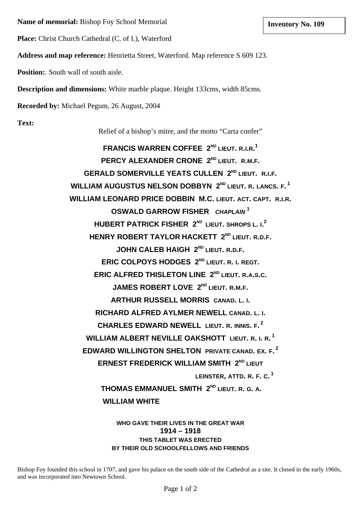**Name of memorial:** Bishop Foy School Memorial **and The Except Except Except Inventory No. 109** 

**Place:** Christ Church Cathedral (C. of I.), Waterford

**Address and map reference:** Henrietta Street, Waterford. Map reference S 609 123.

**Position:**. South wall of south aisle.

**Description and dimensions:** White marble plaque. Height 133cms, width 85cms.

**Recorded by:** Michael Pegum, 26 August, 2004

**Text:**

Relief of a bishop's mitre, and the motto "Carta confer"

**FRANCIS WARREN COFFEE 2ND LIEUT. R.I.R. 1** PERCY ALEXANDER CRONE 2<sup>ND</sup> LIEUT. R.M.F. **GERALD SOMERVILLE YEATS CULLEN 2<sup>ND</sup> LIEUT. R.I.F. WILLIAM AUGUSTUS NELSON DOBBYN 2<sup>ND</sup> LIEUT. R. LANCS. F.<sup>1</sup> WILLIAM LEONARD PRICE DOBBIN M.C. LIEUT. ACT. CAPT. R.I.R. OSWALD GARROW FISHER** *CHAPLAIN* **<sup>1</sup> HUBERT PATRICK FISHER 2ND LIEUT. SHROPS L. I. 2 HENRY ROBERT TAYLOR HACKETT 2<sup>ND</sup> LIEUT. R.D.F. JOHN CALEB HAIGH 2<sup>ND</sup> LIEUT. R.D.F. ERIC COLPOYS HODGES 2ND LIEUT. R. I. REGT. ERIC ALFRED THISLETON LINE 2<sup>ND</sup> LIEUT. R.A.S.C. JAMES ROBERT LOVE 2<sup>ND</sup> LIEUT. R.M.F. ARTHUR RUSSELL MORRIS CANAD. L. I. RICHARD ALFRED AYLMER NEWELL CANAD. L. I. CHARLES EDWARD NEWELL LIEUT. R. INNIS. F. 2 WILLIAM ALBERT NEVILLE OAKSHOTT LIEUT. R. I. R. 1 EDWARD WILLINGTON SHELTON PRIVATE CANAD. EX. F. 2 ERNEST FREDERICK WILLIAM SMITH 2<sup>ND</sup> LIEUT LEINSTER, ATTD. R. F. C. 1 THOMAS EMMANUEL SMITH 2ND LIEUT. R. G. A. WILLIAM WHITE** 

> **WHO GAVE THEIR LIVES IN THE GREAT WAR 1914 – 1918 THIS TABLET WAS ERECTED BY THEIR OLD SCHOOLFELLOWS AND FRIENDS**

Bishop Foy founded this school in 1707, and gave his palace on the south side of the Cathedral as a site. It closed in the early 1960s, and was incorporated into Newtown School.